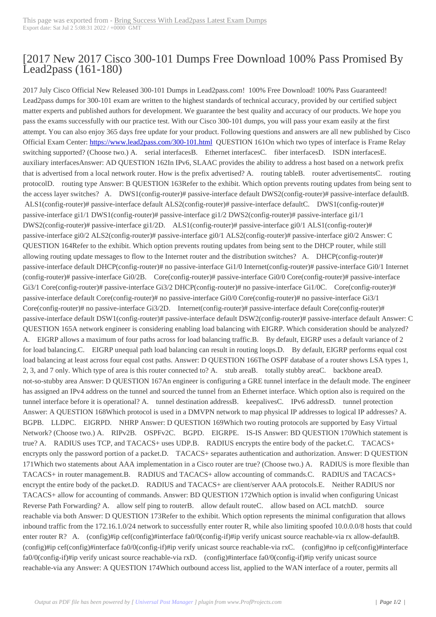## [2017 New 2017 C[isco 300-101 Dumps Free Downl](http://www.220-801.net/?p=5560)oad 100% Pass Promised By Lead2pass (161-180)

 2017 July Cisco Official New Released 300-101 Dumps in Lead2pass.com! 100% Free Download! 100% Pass Guaranteed! Lead2pass dumps for 300-101 exam are written to the highest standards of technical accuracy, provided by our certified subject matter experts and published authors for development. We guarantee the best quality and accuracy of our products. We hope you pass the exams successfully with our practice test. With our Cisco 300-101 dumps, you will pass your exam easily at the first attempt. You can also enjoy 365 days free update for your product. Following questions and answers are all new published by Cisco Official Exam Center: https://www.lead2pass.com/300-101.html QUESTION 161On which two types of interface is Frame Relay switching supported? (Choose two.) A. serial interfacesB. Ethernet interfacesC. fiber interfacesD. ISDN interfacesE. auxiliary interfacesAnswer: AD QUESTION 162In IPv6, SLAAC provides the ability to address a host based on a network prefix that is advertised from [a local network router. How is the prefix a](https://www.lead2pass.com/300-101.html)dvertised? A. routing tableB. router advertisementsC. routing protocolD. routing type Answer: B QUESTION 163Refer to the exhibit. Which option prevents routing updates from being sent to the access layer switches? A. DWS1(config-router)# passive-interface default DWS2(config-router)# passive-interface defaultB. ALS1(config-router)# passive-interface default ALS2(config-router)# passive-interface defaultC. DWS1(config-router)# passive-interface gi1/1 DWS1(config-router)# passive-interface gi1/2 DWS2(config-router)# passive-interface gi1/1 DWS2(config-router)# passive-interface gi1/2D. ALS1(config-router)# passive-interface gi0/1 ALS1(config-router)# passive-interface gi0/2 ALS2(config-router)# passive-interface gi0/1 ALS2(config-router)# passive-interface gi0/2 Answer: C QUESTION 164Refer to the exhibit. Which option prevents routing updates from being sent to the DHCP router, while still allowing routing update messages to flow to the Internet router and the distribution switches? A. DHCP(config-router)# passive-interface default DHCP(config-router)# no passive-interface Gi1/0 Internet(config-router)# passive-interface Gi0/1 Internet (config-router)# passive-interface Gi0/2B. Core(config-router)# passive-interface Gi0/0 Core(config-router)# passive-interface Gi3/1 Core(config-router)# passive-interface Gi3/2 DHCP(config-router)# no passive-interface Gi1/0C. Core(config-router)# passive-interface default Core(config-router)# no passive-interface Gi0/0 Core(config-router)# no passive-interface Gi3/1 Core(config-router)# no passive-interface Gi3/2D. Internet(config-router)# passive-interface default Core(config-router)# passive-interface default DSW1(config-router)# passive-interface default DSW2(config-router)# passive-interface default Answer: C QUESTION 165A network engineer is considering enabling load balancing with EIGRP. Which consideration should be analyzed? A. EIGRP allows a maximum of four paths across for load balancing traffic.B. By default, EIGRP uses a default variance of 2 for load balancing.C. EIGRP unequal path load balancing can result in routing loops.D. By default, EIGRP performs equal cost load balancing at least across four equal cost paths. Answer: D QUESTION 166The OSPF database of a router shows LSA types 1, 2, 3, and 7 only. Which type of area is this router connected to? A. stub areaB. totally stubby areaC. backbone areaD. not-so-stubby area Answer: D QUESTION 167An engineer is configuring a GRE tunnel interface in the default mode. The engineer has assigned an IPv4 address on the tunnel and sourced the tunnel from an Ethernet interface. Which option also is required on the tunnel interface before it is operational? A. tunnel destination addressB. keepalivesC. IPv6 addressD. tunnel protection Answer: A QUESTION 168Which protocol is used in a DMVPN network to map physical IP addresses to logical IP addresses? A. BGPB. LLDPC. EIGRPD. NHRP Answer: D QUESTION 169Which two routing protocols are supported by Easy Virtual Network? (Choose two.) A. RIPv2B. OSPFv2C. BGPD. EIGRPE. IS-IS Answer: BD QUESTION 170Which statement is true? A. RADIUS uses TCP, and TACACS+ uses UDP.B. RADIUS encrypts the entire body of the packet.C. TACACS+ encrypts only the password portion of a packet. D. TACACS+ separates authentication and authorization. Answer: D QUESTION 171Which two statements about AAA implementation in a Cisco router are true? (Choose two.) A. RADIUS is more flexible than TACACS+ in router management.B. RADIUS and TACACS+ allow accounting of commands.C. RADIUS and TACACS+ encrypt the entire body of the packet.D. RADIUS and TACACS+ are client/server AAA protocols.E. Neither RADIUS nor TACACS+ allow for accounting of commands. Answer: BD QUESTION 172Which option is invalid when configuring Unicast Reverse Path Forwarding? A. allow self ping to routerB. allow default routeC. allow based on ACL matchD. source reachable via both Answer: D QUESTION 173Refer to the exhibit. Which option represents the minimal configuration that allows inbound traffic from the 172.16.1.0/24 network to successfully enter router R, while also limiting spoofed 10.0.0.0/8 hosts that could enter router R? A. (config)#ip cef(config)#interface fa0/0(config-if)#ip verify unicast source reachable-via rx allow-defaultB. (config)#ip cef(config)#interface fa0/0(config-if)#ip verify unicast source reachable-via rxC. (config)#no ip cef(config)#interface fa0/0(config-if)#ip verify unicast source reachable-via rxD. (config)#interface fa0/0(config-if)#ip verify unicast source reachable-via any Answer: A QUESTION 174Which outbound access list, applied to the WAN interface of a router, permits all